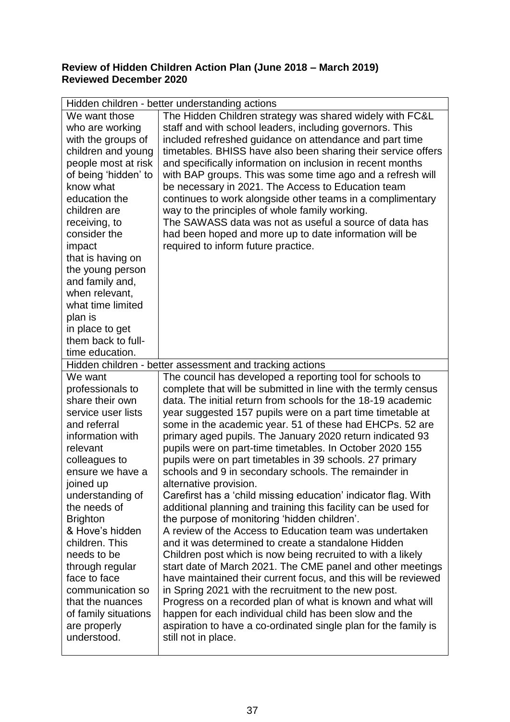## **Review of Hidden Children Action Plan (June 2018 – March 2019) Reviewed December 2020**

| Hidden children - better understanding actions |                                                                 |
|------------------------------------------------|-----------------------------------------------------------------|
| We want those                                  | The Hidden Children strategy was shared widely with FC&L        |
| who are working                                | staff and with school leaders, including governors. This        |
| with the groups of                             | included refreshed guidance on attendance and part time         |
| children and young                             | timetables. BHISS have also been sharing their service offers   |
| people most at risk                            | and specifically information on inclusion in recent months      |
| of being 'hidden' to                           | with BAP groups. This was some time ago and a refresh will      |
| know what                                      | be necessary in 2021. The Access to Education team              |
| education the                                  | continues to work alongside other teams in a complimentary      |
| children are                                   | way to the principles of whole family working.                  |
| receiving, to                                  | The SAWASS data was not as useful a source of data has          |
| consider the                                   | had been hoped and more up to date information will be          |
| impact                                         | required to inform future practice.                             |
| that is having on                              |                                                                 |
| the young person                               |                                                                 |
| and family and,                                |                                                                 |
| when relevant,                                 |                                                                 |
| what time limited                              |                                                                 |
| plan is                                        |                                                                 |
| in place to get                                |                                                                 |
| them back to full-                             |                                                                 |
| time education.                                |                                                                 |
|                                                | Hidden children - better assessment and tracking actions        |
| We want                                        | The council has developed a reporting tool for schools to       |
| professionals to                               | complete that will be submitted in line with the termly census  |
| share their own                                | data. The initial return from schools for the 18-19 academic    |
| service user lists                             | year suggested 157 pupils were on a part time timetable at      |
| and referral                                   | some in the academic year. 51 of these had EHCPs. 52 are        |
| information with                               | primary aged pupils. The January 2020 return indicated 93       |
| relevant                                       | pupils were on part-time timetables. In October 2020 155        |
| colleagues to                                  | pupils were on part timetables in 39 schools. 27 primary        |
| ensure we have a                               | schools and 9 in secondary schools. The remainder in            |
| joined up                                      | alternative provision.                                          |
| understanding of                               | Carefirst has a 'child missing education' indicator flag. With  |
| the needs of                                   | additional planning and training this facility can be used for  |
| <b>Brighton</b>                                | the purpose of monitoring 'hidden children'.                    |
| & Hove's hidden                                | A review of the Access to Education team was undertaken         |
| children. This                                 | and it was determined to create a standalone Hidden             |
| needs to be                                    | Children post which is now being recruited to with a likely     |
| through regular                                | start date of March 2021. The CME panel and other meetings      |
| face to face                                   | have maintained their current focus, and this will be reviewed  |
| communication so                               | in Spring 2021 with the recruitment to the new post.            |
| that the nuances                               | Progress on a recorded plan of what is known and what will      |
| of family situations                           | happen for each individual child has been slow and the          |
| are properly                                   | aspiration to have a co-ordinated single plan for the family is |
| understood.                                    | still not in place.                                             |
|                                                |                                                                 |